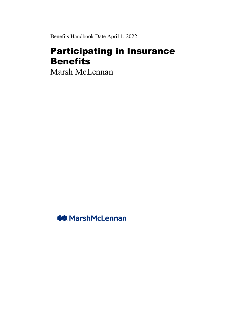Benefits Handbook Date April 1, 2022

# Participating in Insurance Benefits

Marsh McLennan

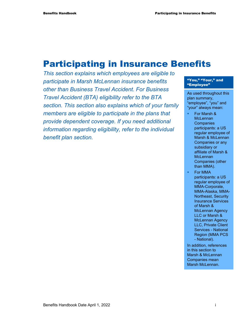# Participating in Insurance Benefits

*This section explains which employees are eligible to participate in Marsh McLennan insurance benefits other than Business Travel Accident. For Business Travel Accident (BTA) eligibility refer to the BTA section. This section also explains which of your family members are eligible to participate in the plans that provide dependent coverage. If you need additional information regarding eligibility, refer to the individual benefit plan section.* 

#### "You," "Your," and "Employee"

As used throughout this plan summary, "employee", "you" and "your" always mean:

- For Marsh & **McLennan Companies** participants: a US regular employee of Marsh & McLennan Companies or any subsidiary or affiliate of Marsh & **McLennan** Companies (other than MMA).
- For MMA participants: a US regular employee of MMA-Corporate, MMA-Alaska, MMA-Northeast, Security Insurance Services of Marsh & McLennan Agency LLC or Marsh & McLennan Agency LLC, Private Client Services - National Region (MMA PCS - National).

In addition, references in this section to Marsh & McLennan Companies mean Marsh McLennan.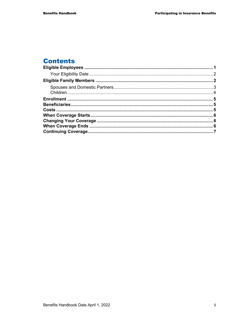# **Contents**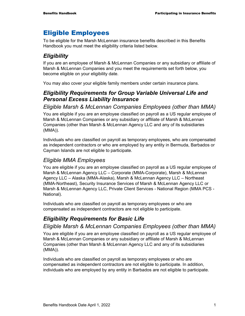# Eligible Employees

To be eligible for the Marsh McLennan insurance benefits described in this Benefits Handbook you must meet the eligibility criteria listed below.

# *Eligibility*

If you are an employee of Marsh & McLennan Companies or any subsidiary or affiliate of Marsh & McLennan Companies and you meet the requirements set forth below, you become eligible on your eligibility date.

You may also cover your eligible family members under certain insurance plans.

# *Eligibility Requirements for Group Variable Universal Life and Personal Excess Liability Insurance*

*Eligible Marsh & McLennan Companies Employees (other than MMA)* 

You are eligible if you are an employee classified on payroll as a US regular employee of Marsh & McLennan Companies or any subsidiary or affiliate of Marsh & McLennan Companies (other than Marsh & McLennan Agency LLC and any of its subsidiaries (MMA)).

Individuals who are classified on payroll as temporary employees, who are compensated as independent contractors or who are employed by any entity in Bermuda, Barbados or Cayman Islands are not eligible to participate.

# *Eligible MMA Employees*

You are eligible if you are an employee classified on payroll as a US regular employee of Marsh & McLennan Agency LLC – Corporate (MMA-Corporate), Marsh & McLennan Agency LLC – Alaska (MMA-Alaska), Marsh & McLennan Agency LLC – Northeast (MMA-Northeast), Security Insurance Services of Marsh & McLennan Agency LLC or Marsh & McLennan Agency LLC, Private Client Services - National Region (MMA PCS - National).

Individuals who are classified on payroll as temporary employees or who are compensated as independent contractors are not eligible to participate.

# *Eligibility Requirements for Basic Life*

# *Eligible Marsh & McLennan Companies Employees (other than MMA)*

You are eligible if you are an employee classified on payroll as a US regular employee of Marsh & McLennan Companies or any subsidiary or affiliate of Marsh & McLennan Companies (other than Marsh & McLennan Agency LLC and any of its subsidiaries (MMA)).

Individuals who are classified on payroll as temporary employees or who are compensated as independent contractors are not eligible to participate. In addition, individuals who are employed by any entity in Barbados are not eligible to participate.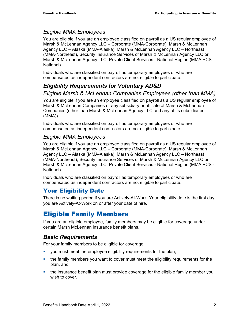## *Eligible MMA Employees*

You are eligible if you are an employee classified on payroll as a US regular employee of Marsh & McLennan Agency LLC – Corporate (MMA-Corporate), Marsh & McLennan Agency LLC – Alaska (MMA-Alaska), Marsh & McLennan Agency LLC – Northeast (MMA-Northeast), Security Insurance Services of Marsh & McLennan Agency LLC or Marsh & McLennan Agency LLC, Private Client Services - National Region (MMA PCS - National).

Individuals who are classified on payroll as temporary employees or who are compensated as independent contractors are not eligible to participate.

# *Eligibility Requirements for Voluntary AD&D*

*Eligible Marsh & McLennan Companies Employees (other than MMA)* 

You are eligible if you are an employee classified on payroll as a US regular employee of Marsh & McLennan Companies or any subsidiary or affiliate of Marsh & McLennan Companies (other than Marsh & McLennan Agency LLC and any of its subsidiaries (MMA)).

Individuals who are classified on payroll as temporary employees or who are compensated as independent contractors are not eligible to participate.

## *Eligible MMA Employees*

You are eligible if you are an employee classified on payroll as a US regular employee of Marsh & McLennan Agency LLC – Corporate (MMA-Corporate), Marsh & McLennan Agency LLC – Alaska (MMA-Alaska), Marsh & McLennan Agency LLC – Northeast (MMA-Northeast), Security Insurance Services of Marsh & McLennan Agency LLC or Marsh & McLennan Agency LLC, Private Client Services - National Region (MMA PCS - National).

Individuals who are classified on payroll as temporary employees or who are compensated as independent contractors are not eligible to participate.

# Your Eligibility Date

There is no waiting period if you are Actively-At-Work. Your eligibility date is the first day you are Actively-At-Work on or after your date of hire.

# Eligible Family Members

If you are an eligible employee, family members may be eligible for coverage under certain Marsh McLennan insurance benefit plans.

# *Basic Requirements*

For your family members to be eligible for coverage:

- you must meet the employee eligibility requirements for the plan,
- the family members you want to cover must meet the eligibility requirements for the plan, and
- **the insurance benefit plan must provide coverage for the eligible family member you** wish to cover.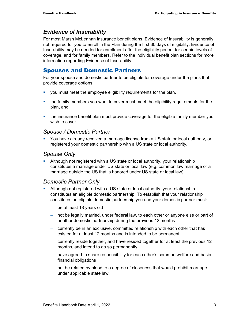### *Evidence of Insurability*

For most Marsh McLennan insurance benefit plans, Evidence of Insurability is generally not required for you to enroll in the Plan during the first 30 days of eligibility. Evidence of Insurability may be needed for enrollment after the eligibility period, for certain levels of coverage, and for family members. Refer to the individual benefit plan sections for more information regarding Evidence of Insurability.

### Spouses and Domestic Partners

For your spouse and domestic partner to be eligible for coverage under the plans that provide coverage options:

- you must meet the employee eligibility requirements for the plan,
- the family members you want to cover must meet the eligibility requirements for the plan, and
- the insurance benefit plan must provide coverage for the eligible family member you wish to cover.

#### *Spouse / Domestic Partner*

 You have already received a marriage license from a US state or local authority, or registered your domestic partnership with a US state or local authority.

#### *Spouse Only*

 Although not registered with a US state or local authority, your relationship constitutes a marriage under US state or local law (e.g. common law marriage or a marriage outside the US that is honored under US state or local law).

#### *Domestic Partner Only*

- Although not registered with a US state or local authority, your relationship constitutes an eligible domestic partnership. To establish that your relationship constitutes an eligible domestic partnership you and your domestic partner must:
	- − be at least 18 years old
	- − not be legally married, under federal law, to each other or anyone else or part of another domestic partnership during the previous 12 months
	- − currently be in an exclusive, committed relationship with each other that has existed for at least 12 months and is intended to be permanent
	- − currently reside together, and have resided together for at least the previous 12 months, and intend to do so permanently
	- − have agreed to share responsibility for each other's common welfare and basic financial obligations
	- − not be related by blood to a degree of closeness that would prohibit marriage under applicable state law.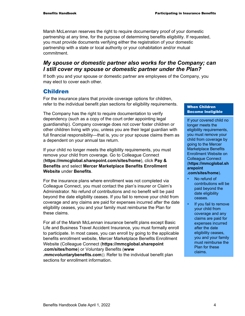Marsh McLennan reserves the right to require documentary proof of your domestic partnership at any time, for the purpose of determining benefits eligibility. If requested, you must provide documents verifying either the registration of your domestic partnership with a state or local authority or your cohabitation and/or mutual commitment.

### *My spouse or domestic partner also works for the Company; can I still cover my spouse or domestic partner under the Plan?*

If both you and your spouse or domestic partner are employees of the Company, you may elect to cover each other.

## Children

For the insurance plans that provide coverage options for children, refer to the individual benefit plan sections for eligibility requirements.

The Company has the right to require documentation to verify dependency (such as a copy of the court order appointing legal guardianship). Company coverage does not cover foster children or other children living with you, unless you are their legal guardian with full financial responsibility—that is, you or your spouse claims them as a dependent on your annual tax return.

If your child no longer meets the eligibility requirements, you must remove your child from coverage. Go to Colleague Connect (**https://mmcglobal.sharepoint.com/sites/home**), click **Pay & Benefits** and select **Mercer Marketplace Benefits Enrollment Website** under **Benefits**.

For the insurance plans where enrollment was not completed via Colleague Connect, you must contact the plan's insurer or Claim's Administrator. No refund of contributions and no benefit will be paid beyond the date eligibility ceases. If you fail to remove your child from coverage and any claims are paid for expenses incurred after the date eligibility ceases, you and your family must reimburse the Plan for these claims.

For all of the Marsh McLennan insurance benefit plans except Basic Life and Business Travel Accident Insurance, you must formally enroll to participate. In most cases, you can enroll by going to the applicable benefits enrollment website, Mercer Marketplace Benefits Enrollment Website (Colleague Connect (**https://mmcglobal.sharepoint .com/sites/home**) or Voluntary Benefits (**www .mmcvoluntarybenefits.com**)). Refer to the individual benefit plan

sections for enrollment information

#### When Children Become Ineligible

If your covered child no longer meets the eligibility requirements, you must remove your child from coverage by going to the Mercer Marketplace Benefits Enrollment Website on Colleague Connect (**https://mmcglobal.sh arepoint .com/sites/home**).

- No refund of contributions will be paid beyond the date eligibility ceases.
- **If you fail to remove** your child from coverage and any claims are paid for expenses incurred after the date eligibility ceases, you and your family must reimburse the Plan for these claims.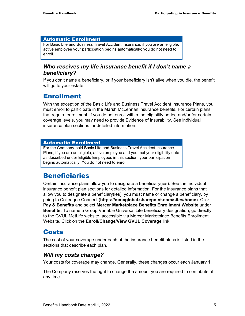#### Automatic Enrollment

For Basic Life and Business Travel Accident Insurance, if you are an eligible, active employee your participation begins automatically; you do not need to enroll.

### *Who receives my life insurance benefit if I don't name a beneficiary?*

If you don't name a beneficiary, or if your beneficiary isn't alive when you die, the benefit will go to your estate.

# Enrollment

With the exception of the Basic Life and Business Travel Accident Insurance Plans, you must enroll to participate in the Marsh McLennan insurance benefits. For certain plans that require enrollment, if you do not enroll within the eligibility period and/or for certain coverage levels, you may need to provide Evidence of Insurability. See individual insurance plan sections for detailed information.

#### Automatic Enrollment

For the Company-paid Basic Life and Business Travel Accident Insurance Plans, if you are an eligible, active employee and you met your eligibility date as described under Eligible Employees in this section, your participation begins automatically. You do not need to enroll.

# Beneficiaries

Certain insurance plans allow you to designate a beneficiary(ies). See the individual insurance benefit plan sections for detailed information. For the insurance plans that allow you to designate a beneficiary(ies), you must name or change a beneficiary, by going to Colleague Connect (**https://mmcglobal.sharepoint.com/sites/home**). Click **Pay & Benefits** and select **Mercer Marketplace Benefits Enrollment Website** under **Benefits**. To name a Group Variable Universal Life beneficiary designation, go directly to the GVUL MetLife website, accessible via Mercer Marketplace Benefits Enrollment Website. Click on the **Enroll/Change/View GVUL Coverage** link.

# Costs

The cost of your coverage under each of the insurance benefit plans is listed in the sections that describe each plan.

## *Will my costs change?*

Your costs for coverage may change. Generally, these changes occur each January 1.

The Company reserves the right to change the amount you are required to contribute at any time.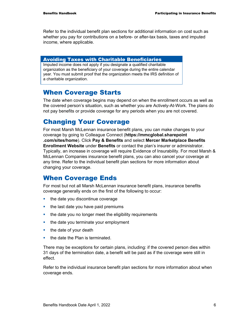Refer to the individual benefit plan sections for additional information on cost such as whether you pay for contributions on a before- or after-tax basis, taxes and imputed income, where applicable.

#### Avoiding Taxes with Charitable Beneficiaries

Imputed income does not apply if you designate a qualified charitable organization as the beneficiary of your coverage during the entire calendar year. You must submit proof that the organization meets the IRS definition of a charitable organization.

# When Coverage Starts

The date when coverage begins may depend on when the enrollment occurs as well as the covered person's situation, such as whether you are Actively-At-Work. The plans do not pay benefits or provide coverage for any periods when you are not covered.

# Changing Your Coverage

For most Marsh McLennan insurance benefit plans, you can make changes to your coverage by going to Colleague Connect (**https://mmcglobal.sharepoint .com/sites/home**). Click **Pay & Benefits** and select **Mercer Marketplace Benefits Enrollment Website** under **Benefits** or contact the plan's insurer or administrator. Typically, an increase in coverage will require Evidence of Insurability. For most Marsh & McLennan Companies insurance benefit plans, you can also cancel your coverage at any time. Refer to the individual benefit plan sections for more information about changing your coverage.

# When Coverage Ends

For most but not all Marsh McLennan insurance benefit plans, insurance benefits coverage generally ends on the first of the following to occur:

- $\blacksquare$  the date you discontinue coverage
- $\blacksquare$  the last date you have paid premiums
- the date you no longer meet the eligibility requirements
- $\blacksquare$  the date you terminate your employment
- $\blacksquare$  the date of your death
- $\blacksquare$  the date the Plan is terminated.

There may be exceptions for certain plans, including: if the covered person dies within 31 days of the termination date, a benefit will be paid as if the coverage were still in effect.

Refer to the individual insurance benefit plan sections for more information about when coverage ends.